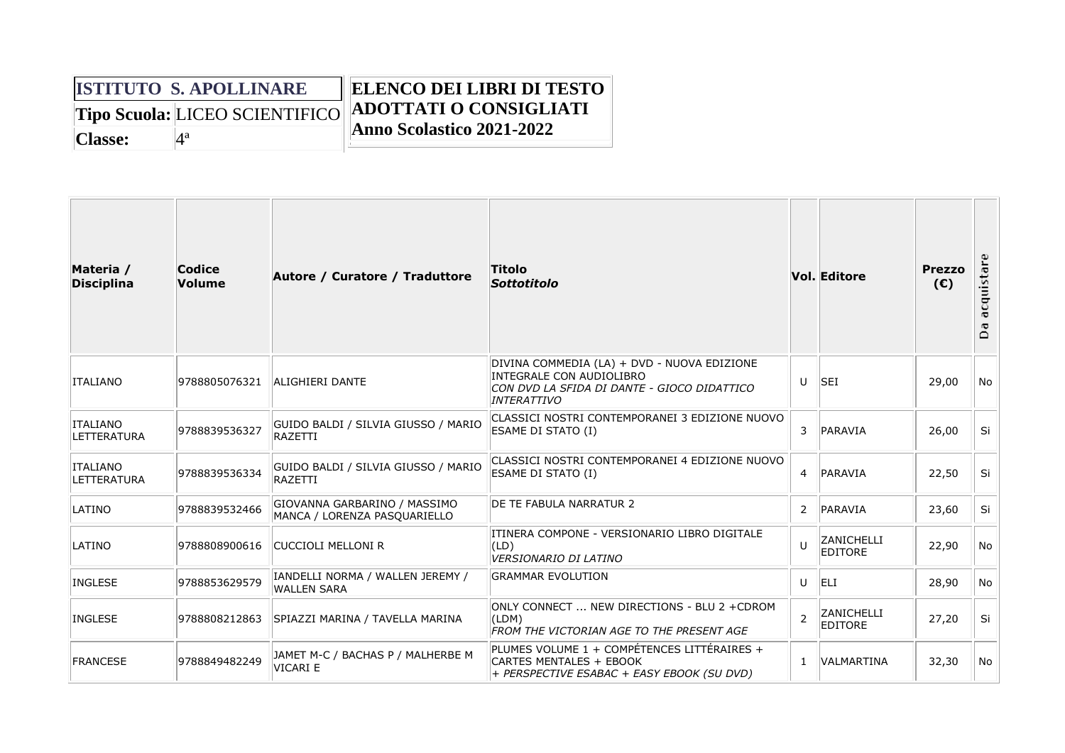## **ISTITUTO S. APOLLINARE Tipo Scuola:** LICEO SCIENTIFICO Classe:  $4^a$ **ELENCO DEI LIBRI DI TESTO ADOTTATI O CONSIGLIATI Anno Scolastico 2021-2022**

| Materia /<br><b>Disciplina</b>        | Codice<br><b>Volume</b> | Autore / Curatore / Traduttore                               | Titolo<br><b>Sottotitolo</b>                                                                                                                        |                | <b>Vol. Editore</b>          | <b>Prezzo</b><br>(E) | acquista<br>≏ |
|---------------------------------------|-------------------------|--------------------------------------------------------------|-----------------------------------------------------------------------------------------------------------------------------------------------------|----------------|------------------------------|----------------------|---------------|
| <b>ITALIANO</b>                       | 9788805076321           | ALIGHIERI DANTE                                              | DIVINA COMMEDIA (LA) + DVD - NUOVA EDIZIONE<br>INTEGRALE CON AUDIOLIBRO<br>CON DVD LA SFIDA DI DANTE - GIOCO DIDATTICO<br><i><b>INTERATTIVO</b></i> | U              | <b>SEI</b>                   | 29,00                | No            |
| <b>ITALIANO</b><br><b>LETTERATURA</b> | 9788839536327           | GUIDO BALDI / SILVIA GIUSSO / MARIO<br>RAZETTI               | CLASSICI NOSTRI CONTEMPORANEI 3 EDIZIONE NUOVO<br><b>ESAME DI STATO (I)</b>                                                                         | 3              | PARAVIA                      | 26,00                | Si            |
| <b>ITALIANO</b><br><b>LETTERATURA</b> | 9788839536334           | GUIDO BALDI / SILVIA GIUSSO / MARIO<br>RAZETTI               | CLASSICI NOSTRI CONTEMPORANEI 4 EDIZIONE NUOVO<br>ESAME DI STATO (I)                                                                                | $\overline{4}$ | PARAVIA                      | 22,50                | Si            |
| LATINO                                | 9788839532466           | GIOVANNA GARBARINO / MASSIMO<br>MANCA / LORENZA PASQUARIELLO | DE TE FABULA NARRATUR 2                                                                                                                             | 2              | PARAVIA                      | 23,60                | Si            |
| LATINO                                | 9788808900616           | CUCCIOLI MELLONI R                                           | ITINERA COMPONE - VERSIONARIO LIBRO DIGITALE<br>(LD)<br><b>VERSIONARIO DI LATINO</b>                                                                | $\mathbf{U}$   | ZANICHELLI<br><b>EDITORE</b> | 22,90                | No            |
| <b>INGLESE</b>                        | 9788853629579           | IANDELLI NORMA / WALLEN JEREMY /<br><b>WALLEN SARA</b>       | <b>GRAMMAR EVOLUTION</b>                                                                                                                            | $\mathbf{U}$   | ELI                          | 28,90                | No            |
| <b>INGLESE</b>                        | 9788808212863           | SPIAZZI MARINA / TAVELLA MARINA                              | ONLY CONNECT  NEW DIRECTIONS - BLU 2 + CDROM<br>(LDM)<br>FROM THE VICTORIAN AGE TO THE PRESENT AGE                                                  | $\overline{2}$ | ZANICHELLI<br><b>EDITORE</b> | 27,20                | Si            |
| <b>FRANCESE</b>                       | 9788849482249           | JAMET M-C / BACHAS P / MALHERBE M<br>VICARI E                | PLUMES VOLUME 1 + COMPÉTENCES LITTÉRAIRES +<br>CARTES MENTALES + EBOOK<br>+ PERSPECTIVE ESABAC + EASY EBOOK (SU DVD)                                | $\mathbf{1}$   | VALMARTINA                   | 32,30                | No.           |